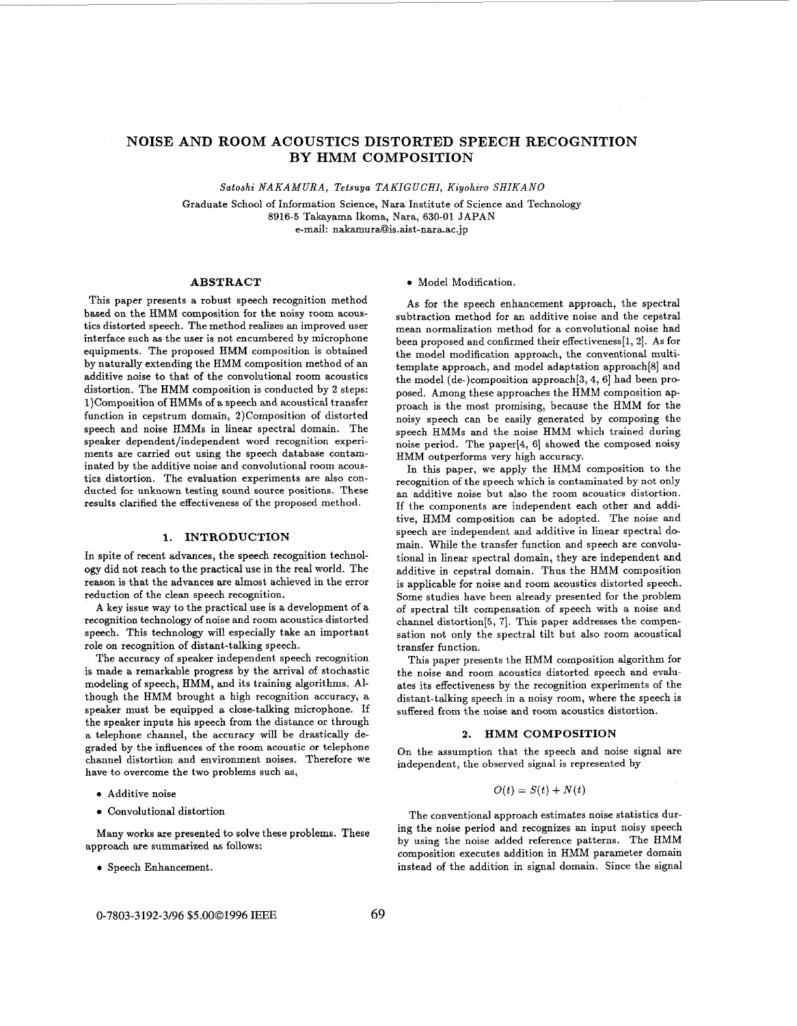# **NOISE AND ROOM ACOUSTICS DISTORTED SPEECH RECOGNITION BY HMM COMPOSITION**

*Satoshi NAKAMURA, Tetsuya TAKIGUCHI, Kiyohiro SHIKANO* 

Graduate School of Information Science, Nara Institute of Science and Technology **8916-5** Takayama Ikoma, Nara, 630-01 JAPAN e-mail: **[nakamura@is.aist-nara.ac.jp](mailto:nakamura@is.aist-nara.ac.jp)** 

## **ABSTRACT**

This paper presents a robust speech recognition method based on the HMM composition for the noisy room acoustics distorted speech. The method realizes an improved user interface such as the user is not encumbered by microphone equipments. The proposed HMM composition is obtained by naturally extending the HMM composition method of an additive noise to that of the convolutional room acoustics distortion. The HMM composition is conducted by 2 steps: 1)Composition of HMMs of **a** speech and acoustical transfer function in cepstrum domain, 2)Composition of distorted speech and noise HMMs in linear spectral domain. The speaker dependent/independent word recognition experiments are carried out using the speech database contaminated by the additive noise and convolutional room acoustics distortion. The evaluation experiments are also conducted for unknown testing sound source positions. These results clarified the effectiveness of the proposed method.

#### **1. INTRODUCTION**

In spite of recent advances, the speech recognition technology did not reach to the practical use in the real world. The reason is that the advances are almost achieved in the error reduction of the clean speech recognition.

**A** key issue way to the practical use is a development of a recognition technology of noise and room acoustics distorted speech. This technology will especially take an important role on recognition of distant-talking speech.

The accuracy of speaker independent speech recognition is made a remarkable progress by the arrival of stochastic modeling of speech, HMM, and its training algorithms. Although the HMM brought a high recognition accuracy, a speaker must be equipped *a* close-talking microphone. If the speaker inputs his speech from the distance or through a telephone channel, the accuracy will be drastically degraded by the influences of the room acoustic **or** telephone channel distortion and environment noises. Therefore we have to overcome the two problems such as,

- *0* Additive noise
- *0* Convolutional distortion

Many works are presented to solve these problems. These approach are summarized as follows:

**•** Speech Enhancement.

#### *0* Model Modification.

**As** for the speech enhancement approach, the spectral subtraction method for an additive noise and the cepstral mean normalization method for a convolutional noise had been proposed and confirmed their effectiveness[l, 21. **As** for the model modification approach, the conventional multitemplate approach, and model adaptation approach[8] and the model (de-)composition approach[3,4, *6)* had been proposed. Among these approaches the HMM composition approach is the most promising, because the HMM for the noisy speech can be easily generated by composing the speech HMMs and the noise HMM which trained during noise period. The paper[4, 6] showed the composed noisy HMM outperforms very high accuracy.

In this paper, we apply the HMM composition to the recognition of the speech which is contaminated by not only an additive noise but also the room acoustics distortion. If the components are independent each other and additive, HMM composition can be adopted. The noise and speech are independent and additive in linear spectral domain. While the transfer function and speech are convolutional in linear spectral domain, they are independent and additive in cepstral domain. Thus the HMM composition is applicable for noise and room acoustics distorted speech. Some studies have been already presented for the problem of spectral tilt compensation of speech with a noise and channel distortion<sup>[5,7]</sup>. This paper addresses the compensation not only the spectral tilt but also room acoustical transfer function.

This paper presents the HMM composition algorithm for the noise and room acoustics distorted speech and evaluates its effectiveness by the recognition experiments of the distant-talking speech in a noisy room, where the speech is suffered from the noise and room acoustics distortion.

#### **2. HMM COMPOSITION**

On the assumption that the speech and noise signal are independent, the observed signal is represented by

## $O(t) = S(t) + N(t)$

The conventional approach estimates noise statistics during the noise period and recognizes an input noisy speech by using the noise added reference patterns. The HMM composition executes addition in HMM parameter domain instead of the addition in signal domain. Since the signal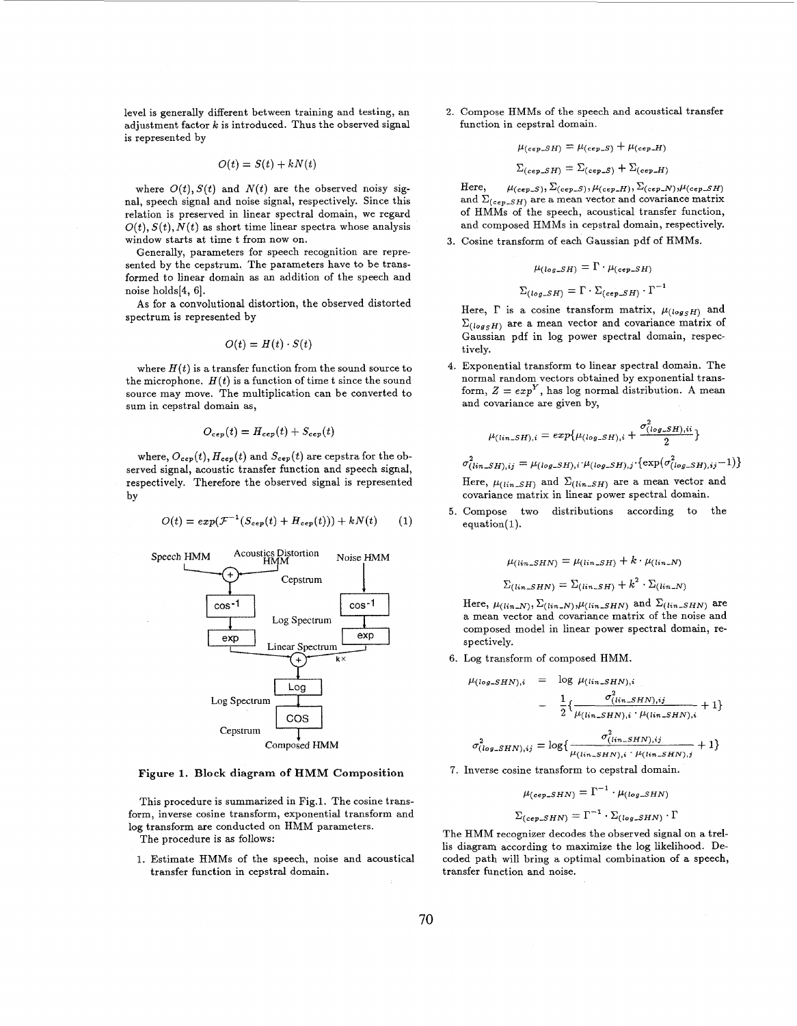level is generally different between training and testing, an adjustment factor  $k$  is introduced. Thus the observed signal is represented by

$$
O(t) = S(t) + kN(t)
$$

where  $O(t)$ ,  $S(t)$  and  $N(t)$  are the observed noisy signal, speech signal and noise signal, respectively. Since this relation is preserved in linear spectral domain, we regard  $O(t)$ ,  $S(t)$ ,  $N(t)$  as short time linear spectra whose analysis window starts at time t from now on.

Generally, parameters for speech recognition are represented by the cepstrum. The parameters have to be transformed to linear domain **as** an addition of the speech and noise holds(4, 61.

**As** for a convolutional distortion, the observed distorted spectrum is represented by

$$
O(t) = H(t) \cdot S(t)
$$

where  $H(t)$  is a transfer function from the sound source to the microphone.  $H(t)$  is a function of time t since the sound source may move. The multiplication can be converted to sum in cepstral domain as,

$$
O_{cep}(t) = H_{cep}(t) + S_{cep}(t)
$$

where,  $O_{cep}(t)$ ,  $H_{cep}(t)$  and  $S_{cep}(t)$  are cepstra for the observed signal, acoustic transfer function and speech signal, respectively. Therefore the observed signal is represented by

$$
O(t) = exp(\mathcal{F}^{-1}(S_{cep}(t) + H_{cep}(t))) + kN(t)
$$
 (1)



### **Figure 1. Block diagram of HMM Composition**

This procedure is summarized in Fig.1. The cosine transform, inverse cosine transform, exponential transform and log transform are conducted on HMM parameters. The procedure is **as** follows:

1. Estimate HMMs of the speech, noise and acoustical transfer function in cepstral domain.

2. Compose HMMs of the speech and acoustical transfer function in cepstral domain.

$$
\mu_{(cep\_SH)} = \mu_{(cep\_S)} + \mu_{(cep\_H)}
$$

$$
\Sigma_{(cep\_SH)} = \Sigma_{(cep\_S)} + \Sigma_{(cep\_H)}
$$

and  $\Sigma_{(cep\_SH)}$  are a mean vector and covariance matrix of HMMs of the speech, acoustical transfer function, and composed HMMs in cepstral domain, respectively. Here,  $\mu_{(cep\_S)}, \Sigma_{(cep\_S)}, \mu_{(cep\_H)}, \Sigma_{(cep\_N)}, \mu_{(cep\_SH)}$ 

**3.** Cosine transform of each Gaussian pdf of HMMs.

$$
\mu_{(log\_SH)} = \Gamma \cdot \mu_{(cep\_SH)}
$$

$$
\Sigma_{(log\_SH)} = \Gamma \cdot \Sigma_{(cep\_SH)} \cdot \Gamma^{-1}
$$

Here,  $\Gamma$  is a cosine transform matrix,  $\mu_{(log_S H)}$  and  $\Sigma_{(log_S H)}$  are a mean vector and covariance matrix of Gaussian pdf in log power spectral domain, respectively.

**4.** Exponential transform to linear spectral domain. The normal random vectors obtained by exponential transform,  $Z = exp^{Y}$ , has log normal distribution. A mean and covariance are given by,

$$
\mu_{(lin\_SH),i} = exp{\mu_{(log\_SH),i} + \frac{\sigma^2_{(log\_SH),ii}}{2}}
$$

 $\sigma^2_{(lin\_SH),ij} = \mu_{(log\_SH),i} \cdot \mu_{(log\_SH),j} \cdot \{ \exp(\sigma^2_{(log\_SH),ij} - 1) \}$ 

Here,  $\mu_{(lin-SH)}$  and  $\Sigma_{(lin-SH)}$  are a mean vector and covariance matrix in linear power spectral domain.

*5.* Compose two distributions according to the equation( **1).** 

$$
\mu_{(lin\_SHN)} = \mu_{(lin\_SH)} + k \cdot \mu_{(lin\_N)}
$$

$$
\Sigma_{(lin\_SHN)} = \Sigma_{(lin\_SH)} + k^2 \cdot \Sigma_{(lin\_N)}
$$

Here,  $\mu_{(lin=N)}, \Sigma_{(lin=N)}, \mu_{(lin\_SHN)}$  and  $\Sigma_{(lin\_SHN)}$  are a mean vector and covariance matrix of the noise and composed model in linear power spectral domain, respectively.

**6.** Log transform of composed HMM.

$$
\mu_{(log\_SHN),i} = \log \mu_{(lin\_SHN),i} \n- \frac{1}{2} \{ \frac{\sigma_{(lin\_SHN),i}^2}{\mu_{(lin\_SHN),i} \cdot \mu_{(lin\_SHN),i}} + 1 \} \n\sigma_{(log\_SHN),ij}^2 = \log \{ \frac{\sigma_{(lin\_SHN),ij}^2}{\mu_{(lin\_SHN),i} \cdot \mu_{(lin\_SHN),j}} + 1 \}
$$

7. Inverse cosine transform to cepstral domain.

$$
\mu_{(cep\_SHN)} = \Gamma^{-1} \cdot \mu_{(log\_SHN)}
$$

$$
\Sigma_{(cep\_SHN)} = \Gamma^{-1} \cdot \Sigma_{(log\_SHN)} \cdot \Gamma
$$

The HMM recognizer decodes the observed signal on a trellis diagram according to maximize the log likelihood. Decoded path will bring a optimal combination of a speech, transfer function and noise.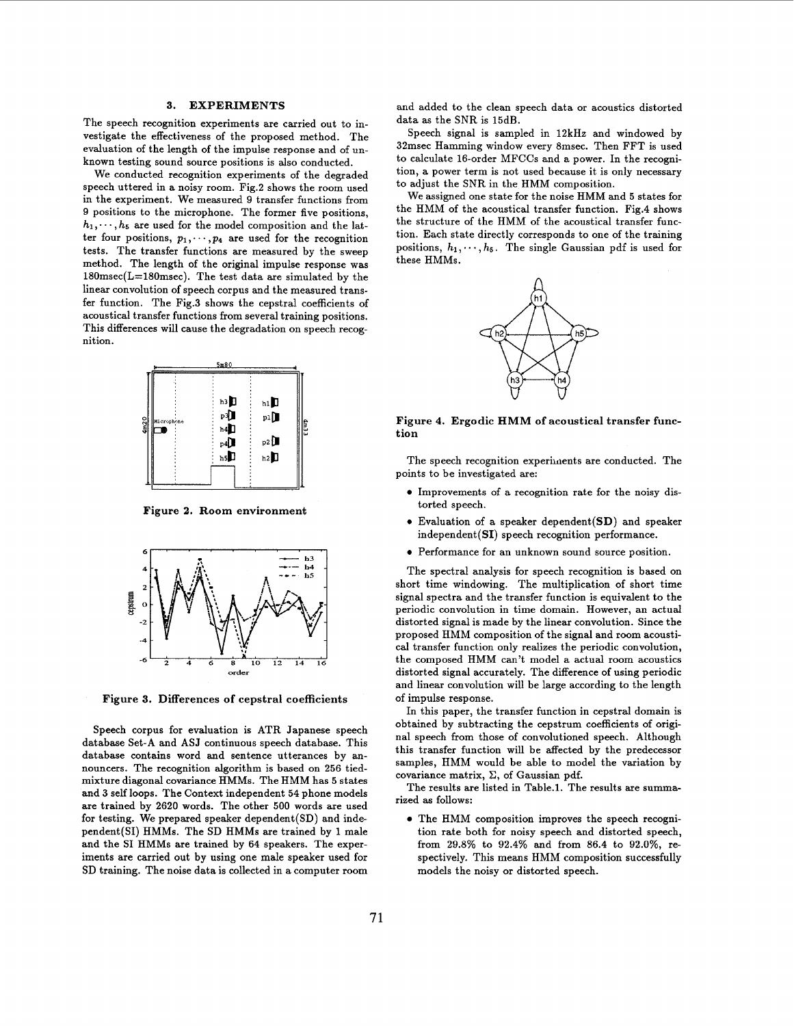#### **3. EXPERIMENTS**

The speech recognition experiments are carried out to investigate the effectiveness of the proposed method. The evaluation of the length of the impulse response and of unknown testing sound source positions is also conducted.

We conducted recognition experiments of the degraded speech uttered in a noisy room. Fig.2 shows the room used in the experiment. We measured 9 transfer functions from 9 positions to the microphone. The former five positions,  $h_1, \dots, h_5$  are used for the model composition and the latter four positions,  $p_1, \dots, p_4$  are used for the recognition tests. The transfer functions are measured by the sweep method. The length of the original impulse response was 180msec(L=180msec). The test data are simulated by the linear convolution of speech corpus and the measured transfer function. The Fig.3 shows the cepstral coefficients of acoustical transfer functions from several training positions. This differences will cause the degradation on speech recognition.



**Figure 2. Room environment** 



**Figure 3. Differences of cepstral coefficients** 

Speech corpus **for** evaluation is ATR Japanese speech database Set-A and ASJ continuous speech database. This database contains word and sentence utterances by announcers. The recognition algorithm is based on 256 tiedmixture diagonal covariance HMMs. The HMM has *5* states and **3** self loops. The Context independent 54 phone models are trained **by** 2620 words. The other *500* words are used for testing. We prepared speaker dependent(SD) and inde- • The HMM composition improves the speech recognipendent(SI) HMMs. The SD HMMs are trained by 1 male tion rate both for noisy speech and distorted speech, and the SI HMMs are trained by 64 speakers. The exper-<br>from 29.8% to 92.4% and from 86.4 to 92.0%, reand the SI HMMs are trained by 64 speakers. The experiments are carried out by using one male speaker used for spectively. This means **HMM** composition successfully SD training. The noise data is collected in a computer room models the noisy **or** distorted speech.

and added to the clean speech data **or** acoustics distorted data as the SNR is 15dB.

Speech signal is sampled in 12kHz and windowed by 32msec Hamming window every 8msec. Then FFT is used to calculate 16-order MFCCs and a power. In the recognition, a power term is not used because it is only necessary to adjust the SNR in the HMM composition.

We assigned one state for the noise HMM and *5* states for the HMM of the acoustical transfer function. Fig.4 shows the structure of the HMM of the acoustical transfer function. Each state directly corresponds to one of the training positions,  $h_1, \dots, h_5$ . The single Gaussian pdf is used for these HMMs.



**Figure 4. Ergodic HMM of acoustical transfer function** 

The speech recognition experiments are conducted. The points to be investigated are:

- Improvements of a recognition rate for the noisy distorted speech.
- *<sup>0</sup>*Evaluation of a speaker dependent(SD) and speaker  $independent(SI)$  speech recognition performance.
- *0* Performance for an unknown sound source position.

The spectral analysis for speech recognition is based on short time windowing. The multiplication of short time signal spectra and the transfer function is equivalent to the periodic convolution in time domain. However, an actual distorted signal is made by the linear convolution. Since the proposed HMM composition of the signal and room acoustical transfer function only realizes the periodic convolution, the composed HMM can't model a actual room acoustics distorted signal accurately. The difference of using periodic and linear convolution will be large according to the length of impulse response.

In this paper, the transfer function in cepstral domain is obtained by subtracting the cepstrum coefficients of original speech from those of convolutioned speech. Although this transfer function will be affected by the predecessor samples, HMM would be able to model the variation by covariance matrix,  $\Sigma$ , of Gaussian pdf.

The results are listed in Table.1. The results are summarized as follows: